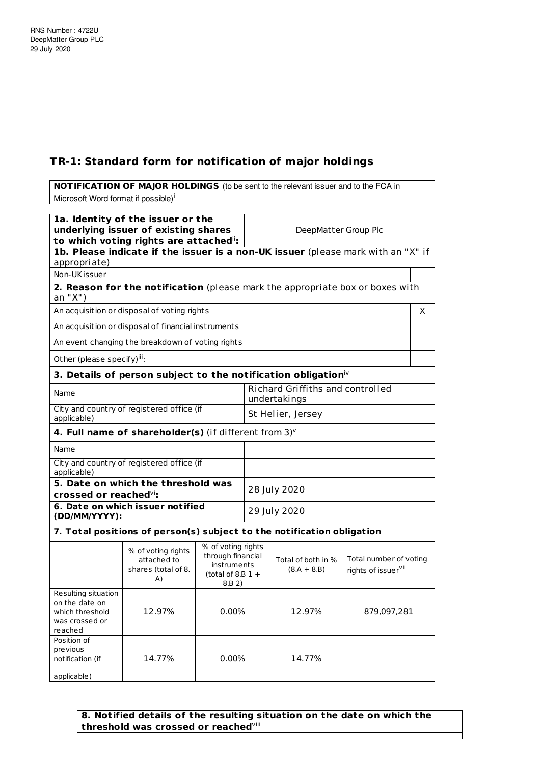## **TR-1: Standard form for notification of major holdings**

**NOTIFICATION OF MAJOR HOLDINGS** (to be sent to the relevant issuer and to the FCA in Microsoft Word format if possible)<sup>i</sup> **1a. Identity of the issuer or the underlying issuer of existing shares to which voting rights are attached** ii**:** DeepMatter Group Plc **1b. Please indicate if the issuer is a non-UK issuer** (please mark with an "X" if appropriate) Non-UK issuer **2. Reason for the notification** (please mark the appropriate box or boxes with an "X") An acquisition or disposal of voting rights X and X and X and X and X and X and X and X and X and X and X and X  $\lambda$ An acquisition or disposal of financial inst ruments An event changing the breakdown of voting rights Other (please specify)<sup>iii</sup>: **3. Details of person subject to the notification obligation** iv Name Richard Griffiths and controlled undertakings City and country of registered office (if applicable) St Helier, Jersey **4. Full name of shareholder(s)** (if different from 3) v Name City and count ry of registered office (if applicable) **5. Date on which the threshold was crossed or reached** vi**:** 28 July 2020 **6. Date on which issuer not ified (DD/MM/YYYY):** 29 July 2020 **7. Total posit ions of person(s) subject to the not ificat ion obligat ion**

## % of voting rights attached to shares (total of 8. A) % of voting rights through financial instruments (total of  $8.B.1 +$ 8.B 2) Total of both in %  $(8.A + 8.B)$ Total number of voting rights of issuer<sup>vii</sup> Resulting situation on the date on which threshold was crossed or reached 12.97% 0.00% 12.97% 879,097,281 Position of previous notification (if applicable) 14.77% 0.00% 14.77%

**8. Notified details of the resulting situation on the date on which the threshold was crossed or reached** viii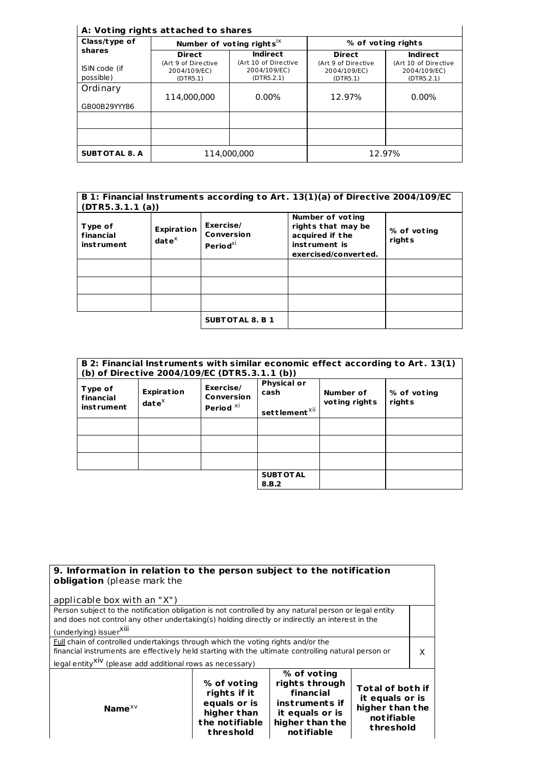## **A: Vot ing rights at tached to shares**

| Class/type of<br>shares    | Number of voting rights <sup>ix</sup>           |                                                    | % of voting rights                              |                                                    |
|----------------------------|-------------------------------------------------|----------------------------------------------------|-------------------------------------------------|----------------------------------------------------|
|                            | <b>Direct</b>                                   | Indirect                                           | <b>Direct</b>                                   | <b>Indirect</b>                                    |
| ISIN code (if<br>possible) | (Art 9 of Directive<br>2004/109/EC)<br>(DTR5.1) | (Art 10 of Directive<br>2004/109/EC)<br>(DTR5.2.1) | (Art 9 of Directive<br>2004/109/EC)<br>(DTR5.1) | (Art 10 of Directive<br>2004/109/EC)<br>(DTR5.2.1) |
| Ordinary                   | 114.000.000                                     | $0.00\%$                                           | 12.97%                                          | $0.00\%$                                           |
| GB00B29YYY86               |                                                 |                                                    |                                                 |                                                    |
|                            |                                                 |                                                    |                                                 |                                                    |
| <b>SUBTOTAL 8. A</b>       | 114.000.000                                     |                                                    |                                                 | 12.97%                                             |

| B 1: Financial Instruments according to Art. 13(1)(a) of Directive 2004/109/EC<br>(DTR5.3.1.1(a)) |                                             |                                               |                                                                                                           |                       |
|---------------------------------------------------------------------------------------------------|---------------------------------------------|-----------------------------------------------|-----------------------------------------------------------------------------------------------------------|-----------------------|
| Type of<br>financial<br><i>instrument</i>                                                         | <b>Expiration</b><br>$\mathbf{date}^\times$ | Exercise/<br>Conversion<br>Period $^{\chi i}$ | <b>Number of voting</b><br>rights that may be<br>acquired if the<br>instrument is<br>exercised/converted. | % of voting<br>rights |
|                                                                                                   |                                             |                                               |                                                                                                           |                       |
|                                                                                                   |                                             |                                               |                                                                                                           |                       |
|                                                                                                   |                                             |                                               |                                                                                                           |                       |
|                                                                                                   |                                             | <b>SUBTOTAL 8. B 1</b>                        |                                                                                                           |                       |

|                                           |                                    | (b) of Directive 2004/109/EC (DTR5.3.1.1 (b))   |                                                         |                            | B 2: Financial Instruments with similar economic effect according to Art. 13(1) |
|-------------------------------------------|------------------------------------|-------------------------------------------------|---------------------------------------------------------|----------------------------|---------------------------------------------------------------------------------|
| Type of<br>financial<br><i>instrument</i> | <b>Expiration</b><br>$date^{\chi}$ | Exercise/<br>Conversion<br>Period <sup>xi</sup> | <b>Physical or</b><br>cash<br>settlement <sup>xii</sup> | Number of<br>voting rights | % of voting<br>rights                                                           |
|                                           |                                    |                                                 |                                                         |                            |                                                                                 |
|                                           |                                    |                                                 |                                                         |                            |                                                                                 |
|                                           |                                    |                                                 |                                                         |                            |                                                                                 |
|                                           |                                    |                                                 | <b>SUBT OT AL</b><br>8.B.2                              |                            |                                                                                 |

| 9. Information in relation to the person subject to the notification<br>obligation (please mark the                                                                                                                                                              |                                                                                           |                                                                                                                  |                                                                                          |  |
|------------------------------------------------------------------------------------------------------------------------------------------------------------------------------------------------------------------------------------------------------------------|-------------------------------------------------------------------------------------------|------------------------------------------------------------------------------------------------------------------|------------------------------------------------------------------------------------------|--|
| applicable box with an "X")                                                                                                                                                                                                                                      |                                                                                           |                                                                                                                  |                                                                                          |  |
| Person subject to the notification obligation is not controlled by any natural person or legal entity<br>and does not control any other undertaking(s) holding directly or indirectly an interest in the<br>(underlying) issuer <sup>XIII</sup>                  |                                                                                           |                                                                                                                  |                                                                                          |  |
| Full chain of controlled undertakings through which the voting rights and/or the<br>financial instruments are effectively held starting with the ultimate controlling natural person or<br>legal entity <sup>XIV</sup> (please add additional rows as necessary) |                                                                                           |                                                                                                                  | x                                                                                        |  |
| Name $XV$                                                                                                                                                                                                                                                        | % of voting<br>rights if it<br>equals or is<br>higher than<br>the notifiable<br>threshold | % of voting<br>rights through<br>financial<br>instruments if<br>it equals or is<br>higher than the<br>notifiable | <b>Total of both if</b><br>it equals or is<br>higher than the<br>notifiable<br>threshold |  |